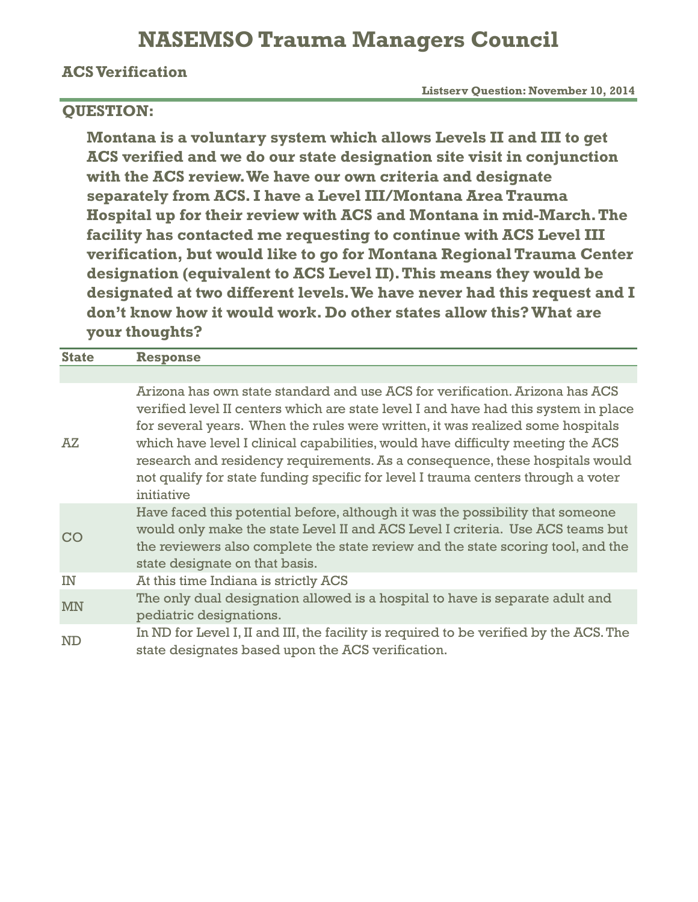### **NASEMSO Trauma Managers Council**

### **ACS Verification**

 **Listserv Question: November 10, 2014**

### **QUESTION:**

**Montana is a voluntary system which allows Levels II and III to get ACS verified and we do our state designation site visit in conjunction with the ACS review. We have our own criteria and designate separately from ACS. I have a Level III/Montana Area Trauma Hospital up for their review with ACS and Montana in mid-March. The facility has contacted me requesting to continue with ACS Level III verification, but would like to go for Montana Regional Trauma Center designation (equivalent to ACS Level II). This means they would be designated at two different levels. We have never had this request and I don't know how it would work. Do other states allow this? What are your thoughts?**

| <b>State</b> | <b>Response</b>                                                                                                                                                                                                                                                                                                                                                                                                                                                                                                             |
|--------------|-----------------------------------------------------------------------------------------------------------------------------------------------------------------------------------------------------------------------------------------------------------------------------------------------------------------------------------------------------------------------------------------------------------------------------------------------------------------------------------------------------------------------------|
|              |                                                                                                                                                                                                                                                                                                                                                                                                                                                                                                                             |
| AZ           | Arizona has own state standard and use ACS for verification. Arizona has ACS<br>verified level II centers which are state level I and have had this system in place<br>for several years. When the rules were written, it was realized some hospitals<br>which have level I clinical capabilities, would have difficulty meeting the ACS<br>research and residency requirements. As a consequence, these hospitals would<br>not qualify for state funding specific for level I trauma centers through a voter<br>initiative |
| <b>CO</b>    | Have faced this potential before, although it was the possibility that someone<br>would only make the state Level II and ACS Level I criteria. Use ACS teams but<br>the reviewers also complete the state review and the state scoring tool, and the<br>state designate on that basis.                                                                                                                                                                                                                                      |
| IN           | At this time Indiana is strictly ACS                                                                                                                                                                                                                                                                                                                                                                                                                                                                                        |
| <b>MN</b>    | The only dual designation allowed is a hospital to have is separate adult and<br>pediatric designations.                                                                                                                                                                                                                                                                                                                                                                                                                    |
| <b>ND</b>    | In ND for Level I, II and III, the facility is required to be verified by the ACS. The<br>state designates based upon the ACS verification.                                                                                                                                                                                                                                                                                                                                                                                 |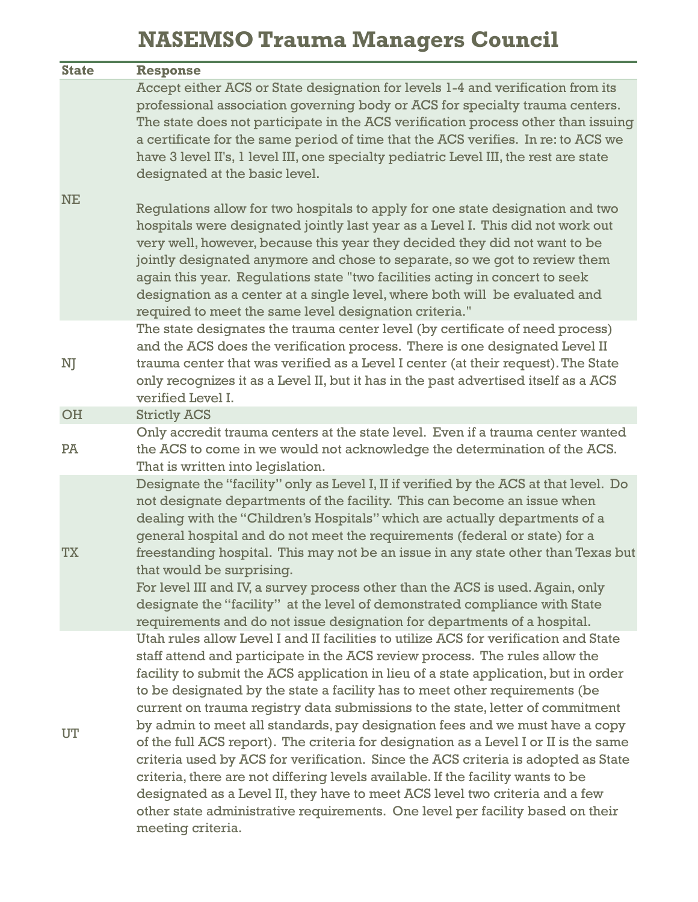# **NASEMSO Trauma Managers Council**

| <b>State</b> | <b>Response</b>                                                                                                                                                                                                                                                                                                                                                                                                                                                                                                                                                                                                                                                                                                                                                                                                                                                                                                                                                    |
|--------------|--------------------------------------------------------------------------------------------------------------------------------------------------------------------------------------------------------------------------------------------------------------------------------------------------------------------------------------------------------------------------------------------------------------------------------------------------------------------------------------------------------------------------------------------------------------------------------------------------------------------------------------------------------------------------------------------------------------------------------------------------------------------------------------------------------------------------------------------------------------------------------------------------------------------------------------------------------------------|
| <b>NE</b>    | Accept either ACS or State designation for levels 1-4 and verification from its<br>professional association governing body or ACS for specialty trauma centers.<br>The state does not participate in the ACS verification process other than issuing<br>a certificate for the same period of time that the ACS verifies. In re: to ACS we<br>have 3 level II's, 1 level III, one specialty pediatric Level III, the rest are state<br>designated at the basic level.<br>Regulations allow for two hospitals to apply for one state designation and two                                                                                                                                                                                                                                                                                                                                                                                                             |
|              | hospitals were designated jointly last year as a Level I. This did not work out<br>very well, however, because this year they decided they did not want to be<br>jointly designated anymore and chose to separate, so we got to review them<br>again this year. Regulations state "two facilities acting in concert to seek<br>designation as a center at a single level, where both will be evaluated and<br>required to meet the same level designation criteria."                                                                                                                                                                                                                                                                                                                                                                                                                                                                                               |
| NJ           | The state designates the trauma center level (by certificate of need process)<br>and the ACS does the verification process. There is one designated Level II<br>trauma center that was verified as a Level I center (at their request). The State<br>only recognizes it as a Level II, but it has in the past advertised itself as a ACS<br>verified Level I.                                                                                                                                                                                                                                                                                                                                                                                                                                                                                                                                                                                                      |
| OH           | <b>Strictly ACS</b>                                                                                                                                                                                                                                                                                                                                                                                                                                                                                                                                                                                                                                                                                                                                                                                                                                                                                                                                                |
| PĀ           | Only accredit trauma centers at the state level. Even if a trauma center wanted<br>the ACS to come in we would not acknowledge the determination of the ACS.<br>That is written into legislation.                                                                                                                                                                                                                                                                                                                                                                                                                                                                                                                                                                                                                                                                                                                                                                  |
| <b>TX</b>    | Designate the "facility" only as Level I, II if verified by the ACS at that level. Do<br>not designate departments of the facility. This can become an issue when<br>dealing with the "Children's Hospitals" which are actually departments of a<br>general hospital and do not meet the requirements (federal or state) for a<br>freestanding hospital. This may not be an issue in any state other than Texas but<br>that would be surprising.<br>For level III and IV, a survey process other than the ACS is used. Again, only<br>designate the "facility" at the level of demonstrated compliance with State<br>requirements and do not issue designation for departments of a hospital.                                                                                                                                                                                                                                                                      |
| UT           | Utah rules allow Level I and II facilities to utilize ACS for verification and State<br>staff attend and participate in the ACS review process. The rules allow the<br>facility to submit the ACS application in lieu of a state application, but in order<br>to be designated by the state a facility has to meet other requirements (be<br>current on trauma registry data submissions to the state, letter of commitment<br>by admin to meet all standards, pay designation fees and we must have a copy<br>of the full ACS report). The criteria for designation as a Level I or II is the same<br>criteria used by ACS for verification. Since the ACS criteria is adopted as State<br>criteria, there are not differing levels available. If the facility wants to be<br>designated as a Level II, they have to meet ACS level two criteria and a few<br>other state administrative requirements. One level per facility based on their<br>meeting criteria. |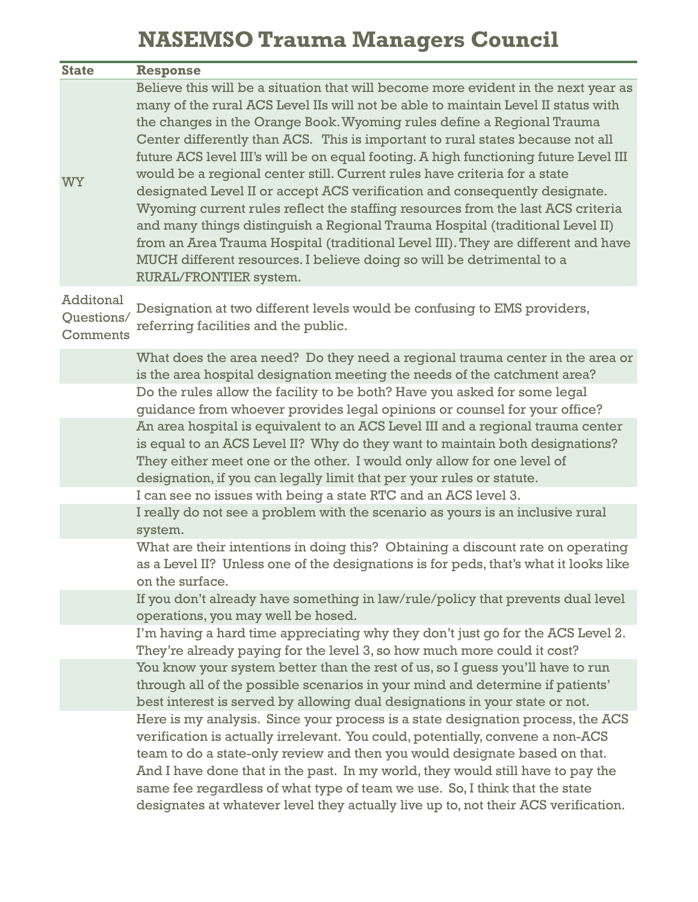# **NASEMSO Trauma Managers Council**

| <b>State</b>                        | <b>Response</b>                                                                                                                                                                                                                                                                                                                                                                                                                                                                                                                                                                                                                                                                                                                                                                                                                                                                                                                                    |
|-------------------------------------|----------------------------------------------------------------------------------------------------------------------------------------------------------------------------------------------------------------------------------------------------------------------------------------------------------------------------------------------------------------------------------------------------------------------------------------------------------------------------------------------------------------------------------------------------------------------------------------------------------------------------------------------------------------------------------------------------------------------------------------------------------------------------------------------------------------------------------------------------------------------------------------------------------------------------------------------------|
| <b>WY</b>                           | Believe this will be a situation that will become more evident in the next year as<br>many of the rural ACS Level IIs will not be able to maintain Level II status with<br>the changes in the Orange Book. Wyoming rules define a Regional Trauma<br>Center differently than ACS. This is important to rural states because not all<br>future ACS level III's will be on equal footing. A high functioning future Level III<br>would be a regional center still. Current rules have criteria for a state<br>designated Level II or accept ACS verification and consequently designate.<br>Wyoming current rules reflect the staffing resources from the last ACS criteria<br>and many things distinguish a Regional Trauma Hospital (traditional Level II)<br>from an Area Trauma Hospital (traditional Level III). They are different and have<br>MUCH different resources. I believe doing so will be detrimental to a<br>RURAL/FRONTIER system. |
| Additonal<br>Questions/<br>Comments | Designation at two different levels would be confusing to EMS providers,<br>referring facilities and the public.                                                                                                                                                                                                                                                                                                                                                                                                                                                                                                                                                                                                                                                                                                                                                                                                                                   |
|                                     | What does the area need? Do they need a regional trauma center in the area or<br>is the area hospital designation meeting the needs of the catchment area?                                                                                                                                                                                                                                                                                                                                                                                                                                                                                                                                                                                                                                                                                                                                                                                         |
|                                     | Do the rules allow the facility to be both? Have you asked for some legal<br>guidance from whoever provides legal opinions or counsel for your office?                                                                                                                                                                                                                                                                                                                                                                                                                                                                                                                                                                                                                                                                                                                                                                                             |
|                                     | An area hospital is equivalent to an ACS Level III and a regional trauma center<br>is equal to an ACS Level II? Why do they want to maintain both designations?<br>They either meet one or the other. I would only allow for one level of<br>designation, if you can legally limit that per your rules or statute.                                                                                                                                                                                                                                                                                                                                                                                                                                                                                                                                                                                                                                 |
|                                     | I can see no issues with being a state RTC and an ACS level 3.<br>I really do not see a problem with the scenario as yours is an inclusive rural<br>system.                                                                                                                                                                                                                                                                                                                                                                                                                                                                                                                                                                                                                                                                                                                                                                                        |
|                                     | What are their intentions in doing this? Obtaining a discount rate on operating<br>as a Level II? Unless one of the designations is for peds, that's what it looks like<br>on the surface.                                                                                                                                                                                                                                                                                                                                                                                                                                                                                                                                                                                                                                                                                                                                                         |
|                                     | If you don't already have something in law/rule/policy that prevents dual level<br>operations, you may well be hosed.                                                                                                                                                                                                                                                                                                                                                                                                                                                                                                                                                                                                                                                                                                                                                                                                                              |
|                                     | I'm having a hard time appreciating why they don't just go for the ACS Level 2.<br>They're already paying for the level 3, so how much more could it cost?                                                                                                                                                                                                                                                                                                                                                                                                                                                                                                                                                                                                                                                                                                                                                                                         |
|                                     | You know your system better than the rest of us, so I quess you'll have to run<br>through all of the possible scenarios in your mind and determine if patients'<br>best interest is served by allowing dual designations in your state or not.                                                                                                                                                                                                                                                                                                                                                                                                                                                                                                                                                                                                                                                                                                     |
|                                     | Here is my analysis. Since your process is a state designation process, the ACS<br>verification is actually irrelevant. You could, potentially, convene a non-ACS<br>team to do a state-only review and then you would designate based on that.<br>And I have done that in the past. In my world, they would still have to pay the<br>same fee regardless of what type of team we use. So, I think that the state<br>designates at whatever level they actually live up to, not their ACS verification.                                                                                                                                                                                                                                                                                                                                                                                                                                            |